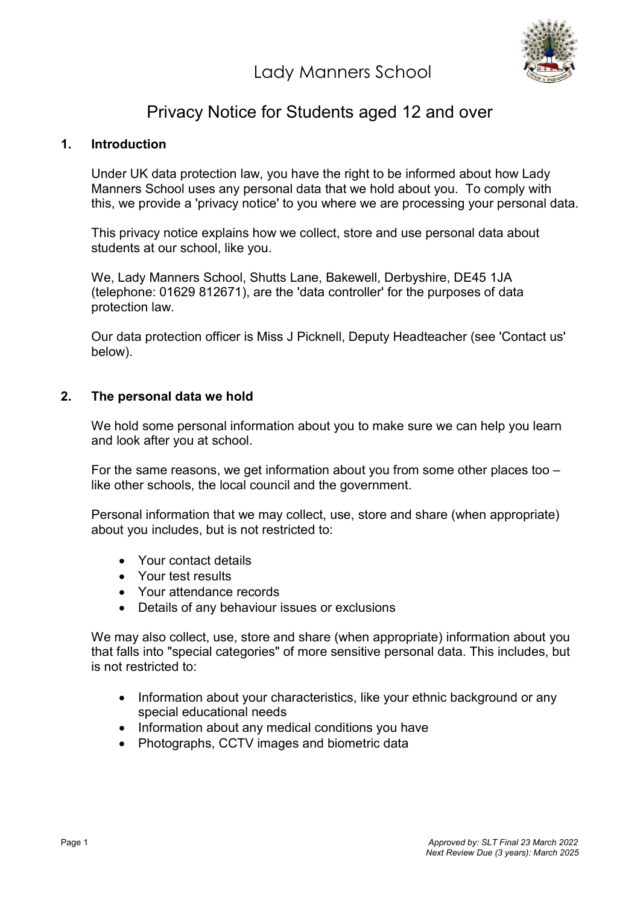Lady Manners School



# Privacy Notice for Students aged 12 and over

## 1. Introduction

Under UK data protection law, you have the right to be informed about how Lady Manners School uses any personal data that we hold about you. To comply with this, we provide a 'privacy notice' to you where we are processing your personal data.

This privacy notice explains how we collect, store and use personal data about students at our school, like you.

We, Lady Manners School, Shutts Lane, Bakewell, Derbyshire, DE45 1JA (telephone: 01629 812671), are the 'data controller' for the purposes of data protection law.

Our data protection officer is Miss J Picknell, Deputy Headteacher (see 'Contact us' below).

#### 2. The personal data we hold

We hold some personal information about you to make sure we can help you learn and look after you at school.

For the same reasons, we get information about you from some other places too – like other schools, the local council and the government.

Personal information that we may collect, use, store and share (when appropriate) about you includes, but is not restricted to:

- Your contact details
- Your test results
- Your attendance records
- Details of any behaviour issues or exclusions

We may also collect, use, store and share (when appropriate) information about you that falls into "special categories" of more sensitive personal data. This includes, but is not restricted to:

- Information about your characteristics, like your ethnic background or any special educational needs
- Information about any medical conditions you have
- Photographs, CCTV images and biometric data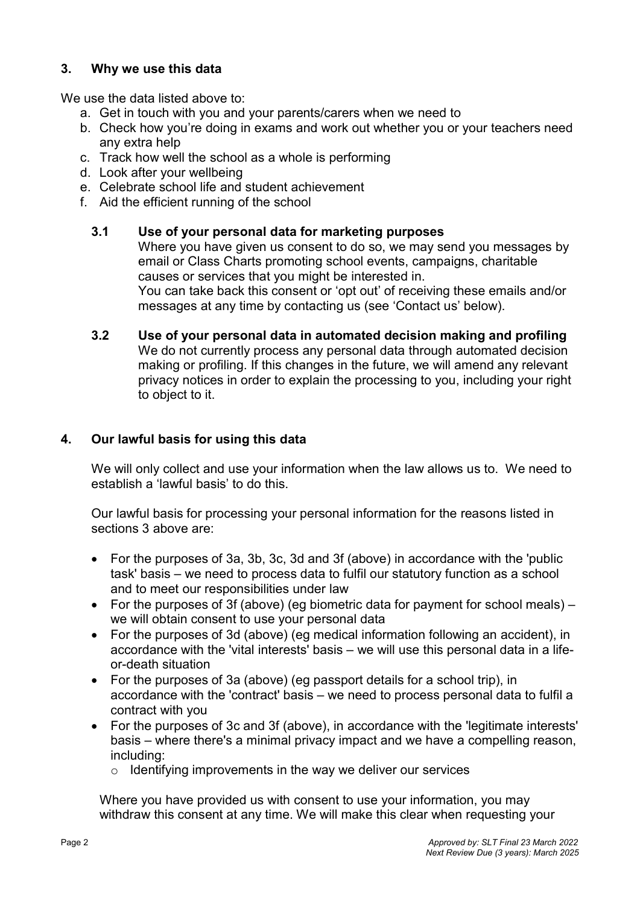## 3. Why we use this data

We use the data listed above to:

- a. Get in touch with you and your parents/carers when we need to
- b. Check how you're doing in exams and work out whether you or your teachers need any extra help
- c. Track how well the school as a whole is performing
- d. Look after your wellbeing
- e. Celebrate school life and student achievement
- f. Aid the efficient running of the school

#### 3.1 Use of your personal data for marketing purposes

Where you have given us consent to do so, we may send you messages by email or Class Charts promoting school events, campaigns, charitable causes or services that you might be interested in. You can take back this consent or 'opt out' of receiving these emails and/or messages at any time by contacting us (see 'Contact us' below).

3.2 Use of your personal data in automated decision making and profiling We do not currently process any personal data through automated decision making or profiling. If this changes in the future, we will amend any relevant privacy notices in order to explain the processing to you, including your right to object to it.

## 4. Our lawful basis for using this data

We will only collect and use your information when the law allows us to. We need to establish a 'lawful basis' to do this.

Our lawful basis for processing your personal information for the reasons listed in sections 3 above are:

- For the purposes of 3a, 3b, 3c, 3d and 3f (above) in accordance with the 'public task' basis – we need to process data to fulfil our statutory function as a school and to meet our responsibilities under law
- For the purposes of 3f (above) (eg biometric data for payment for school meals) we will obtain consent to use your personal data
- For the purposes of 3d (above) (eg medical information following an accident), in accordance with the 'vital interests' basis – we will use this personal data in a lifeor-death situation
- For the purposes of 3a (above) (eg passport details for a school trip), in accordance with the 'contract' basis – we need to process personal data to fulfil a contract with you
- For the purposes of 3c and 3f (above), in accordance with the 'legitimate interests' basis – where there's a minimal privacy impact and we have a compelling reason, including:
	- $\circ$  Identifying improvements in the way we deliver our services

Where you have provided us with consent to use your information, you may withdraw this consent at any time. We will make this clear when requesting your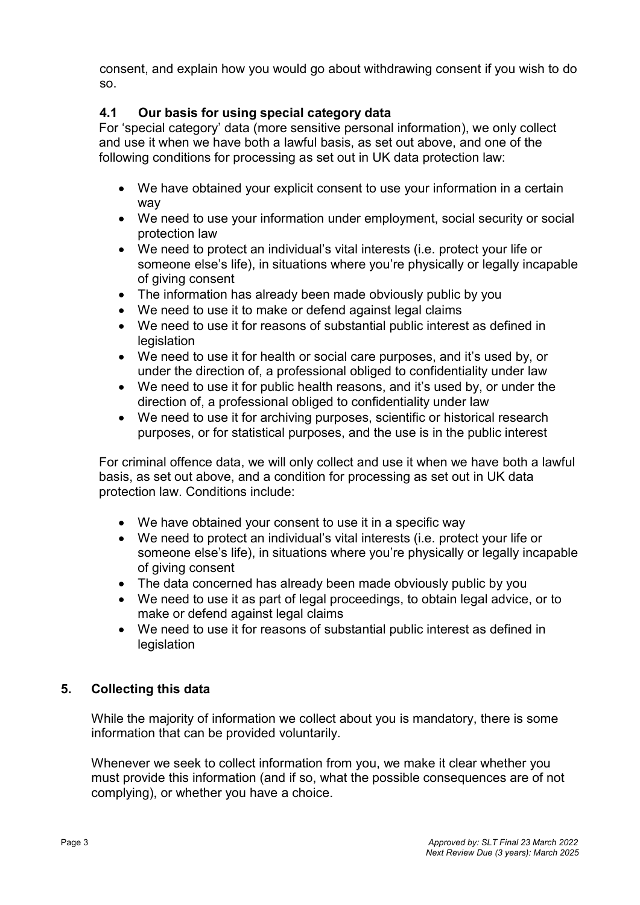consent, and explain how you would go about withdrawing consent if you wish to do so.

# 4.1 Our basis for using special category data

For 'special category' data (more sensitive personal information), we only collect and use it when we have both a lawful basis, as set out above, and one of the following conditions for processing as set out in UK data protection law:

- We have obtained your explicit consent to use your information in a certain way
- We need to use your information under employment, social security or social protection law
- We need to protect an individual's vital interests (i.e. protect your life or someone else's life), in situations where you're physically or legally incapable of giving consent
- The information has already been made obviously public by you
- We need to use it to make or defend against legal claims
- We need to use it for reasons of substantial public interest as defined in **legislation**
- We need to use it for health or social care purposes, and it's used by, or under the direction of, a professional obliged to confidentiality under law
- We need to use it for public health reasons, and it's used by, or under the direction of, a professional obliged to confidentiality under law
- We need to use it for archiving purposes, scientific or historical research purposes, or for statistical purposes, and the use is in the public interest

For criminal offence data, we will only collect and use it when we have both a lawful basis, as set out above, and a condition for processing as set out in UK data protection law. Conditions include:

- We have obtained your consent to use it in a specific way
- We need to protect an individual's vital interests (i.e. protect your life or someone else's life), in situations where you're physically or legally incapable of giving consent
- The data concerned has already been made obviously public by you
- We need to use it as part of legal proceedings, to obtain legal advice, or to make or defend against legal claims
- We need to use it for reasons of substantial public interest as defined in legislation

# 5. Collecting this data

While the majority of information we collect about you is mandatory, there is some information that can be provided voluntarily.

Whenever we seek to collect information from you, we make it clear whether you must provide this information (and if so, what the possible consequences are of not complying), or whether you have a choice.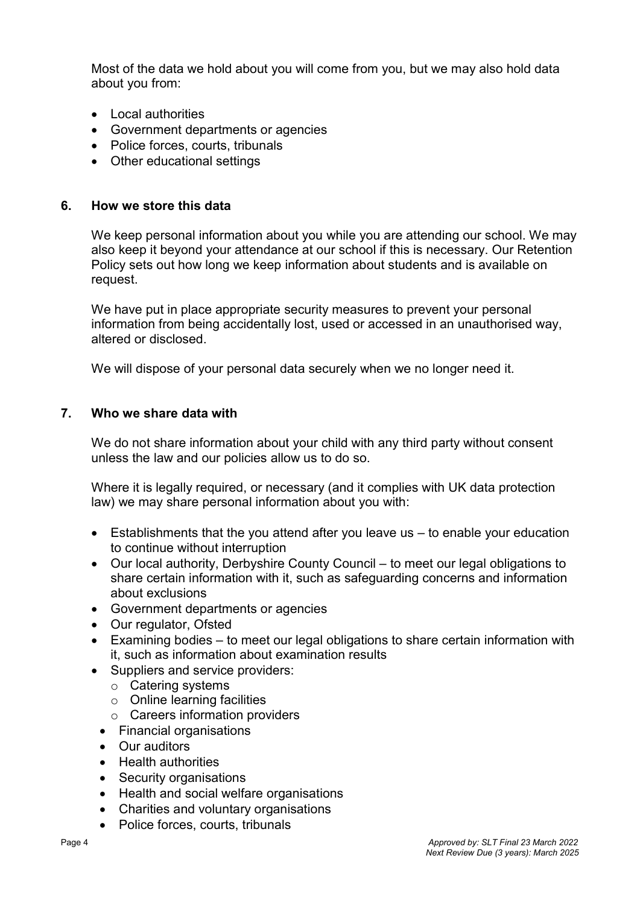Most of the data we hold about you will come from you, but we may also hold data about you from:

- Local authorities
- Government departments or agencies
- Police forces, courts, tribunals
- Other educational settings

#### 6. How we store this data

We keep personal information about you while you are attending our school. We may also keep it beyond your attendance at our school if this is necessary. Our Retention Policy sets out how long we keep information about students and is available on request.

We have put in place appropriate security measures to prevent your personal information from being accidentally lost, used or accessed in an unauthorised way, altered or disclosed.

We will dispose of your personal data securely when we no longer need it.

#### 7. Who we share data with

We do not share information about your child with any third party without consent unless the law and our policies allow us to do so.

Where it is legally required, or necessary (and it complies with UK data protection law) we may share personal information about you with:

- Establishments that the you attend after you leave us to enable your education to continue without interruption
- Our local authority, Derbyshire County Council to meet our legal obligations to share certain information with it, such as safeguarding concerns and information about exclusions
- Government departments or agencies
- Our regulator, Ofsted
- Examining bodies to meet our legal obligations to share certain information with it, such as information about examination results
- Suppliers and service providers:
	- o Catering systems
	- o Online learning facilities
	- o Careers information providers
	- Financial organisations
	- Our auditors
	- Health authorities
	- Security organisations
	- Health and social welfare organisations
	- Charities and voluntary organisations
	- Police forces, courts, tribunals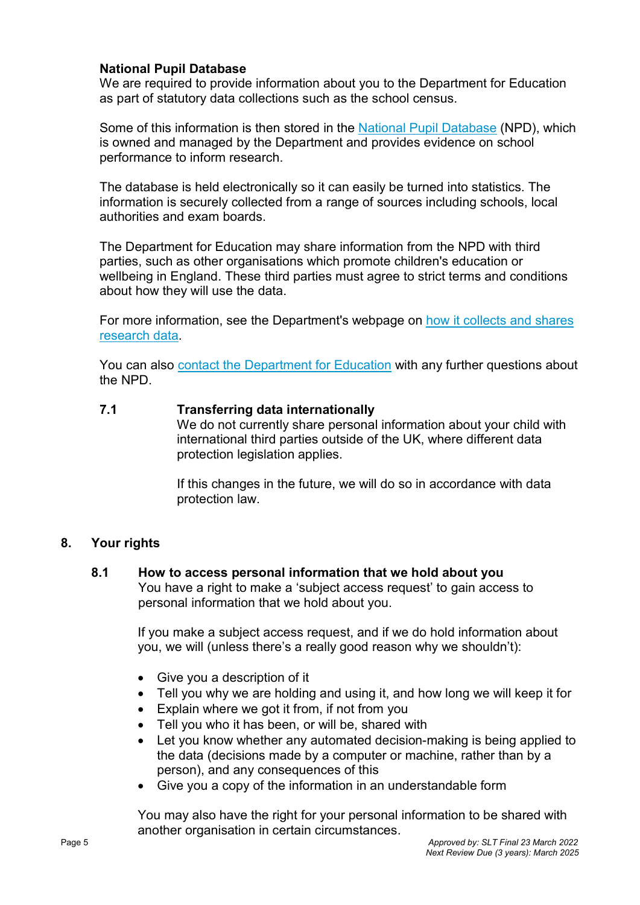#### National Pupil Database

We are required to provide information about you to the Department for Education as part of statutory data collections such as the school census.

Some of this information is then stored in the National Pupil Database (NPD), which is owned and managed by the Department and provides evidence on school performance to inform research.

The database is held electronically so it can easily be turned into statistics. The information is securely collected from a range of sources including schools, local authorities and exam boards.

The Department for Education may share information from the NPD with third parties, such as other organisations which promote children's education or wellbeing in England. These third parties must agree to strict terms and conditions about how they will use the data.

For more information, see the Department's webpage on how it collects and shares research data.

You can also contact the Department for Education with any further questions about the NPD.

#### 7.1 Transferring data internationally

We do not currently share personal information about your child with international third parties outside of the UK, where different data protection legislation applies.

If this changes in the future, we will do so in accordance with data protection law.

#### 8. Your rights

#### 8.1 How to access personal information that we hold about you

You have a right to make a 'subject access request' to gain access to personal information that we hold about you.

If you make a subject access request, and if we do hold information about you, we will (unless there's a really good reason why we shouldn't):

- Give you a description of it
- Tell you why we are holding and using it, and how long we will keep it for
- Explain where we got it from, if not from you
- Tell you who it has been, or will be, shared with
- Let you know whether any automated decision-making is being applied to the data (decisions made by a computer or machine, rather than by a person), and any consequences of this
- Give you a copy of the information in an understandable form

You may also have the right for your personal information to be shared with another organisation in certain circumstances.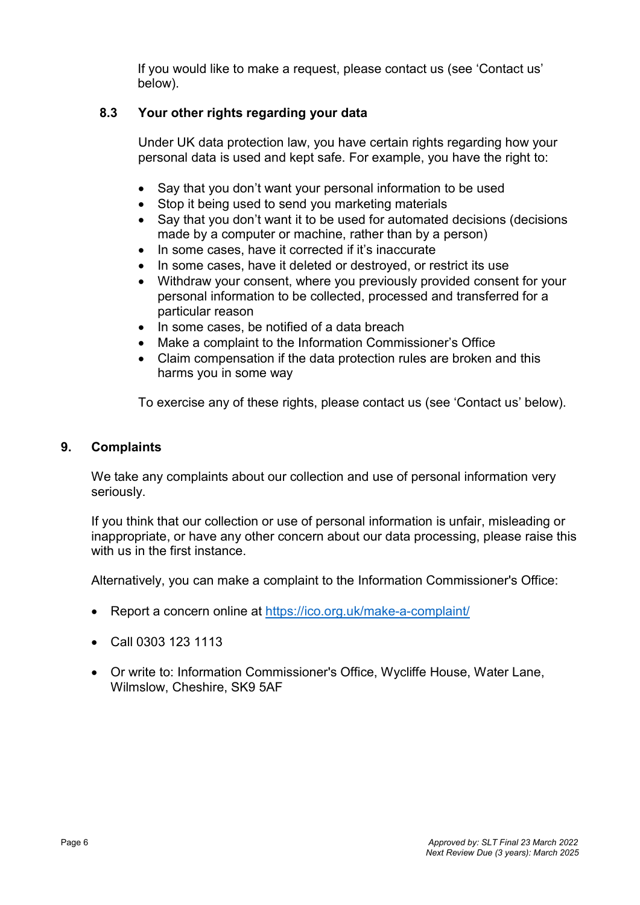If you would like to make a request, please contact us (see 'Contact us' below).

# 8.3 Your other rights regarding your data

Under UK data protection law, you have certain rights regarding how your personal data is used and kept safe. For example, you have the right to:

- Say that you don't want your personal information to be used
- Stop it being used to send you marketing materials
- Say that you don't want it to be used for automated decisions (decisions made by a computer or machine, rather than by a person)
- In some cases, have it corrected if it's inaccurate
- In some cases, have it deleted or destroyed, or restrict its use
- Withdraw your consent, where you previously provided consent for your personal information to be collected, processed and transferred for a particular reason
- In some cases, be notified of a data breach
- Make a complaint to the Information Commissioner's Office
- Claim compensation if the data protection rules are broken and this harms you in some way

To exercise any of these rights, please contact us (see 'Contact us' below).

#### 9. Complaints

We take any complaints about our collection and use of personal information very seriously.

If you think that our collection or use of personal information is unfair, misleading or inappropriate, or have any other concern about our data processing, please raise this with us in the first instance.

Alternatively, you can make a complaint to the Information Commissioner's Office:

- Report a concern online at https://ico.org.uk/make-a-complaint/
- Call 0303 123 1113
- Or write to: Information Commissioner's Office, Wycliffe House, Water Lane, Wilmslow, Cheshire, SK9 5AF